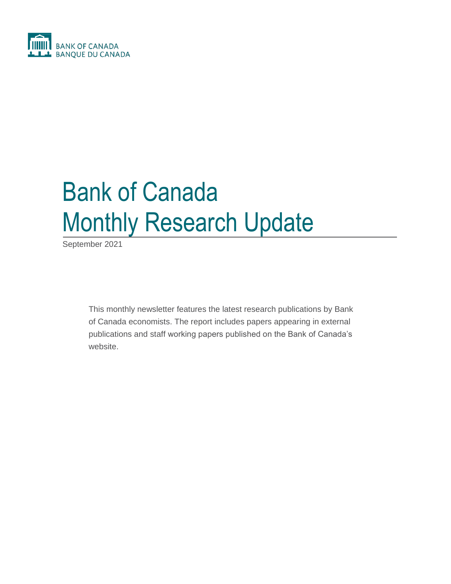

# Bank of Canada Monthly Research Update

September 2021

This monthly newsletter features the latest research publications by Bank of Canada economists. The report includes papers appearing in external publications and staff working papers published on the Bank of Canada's website.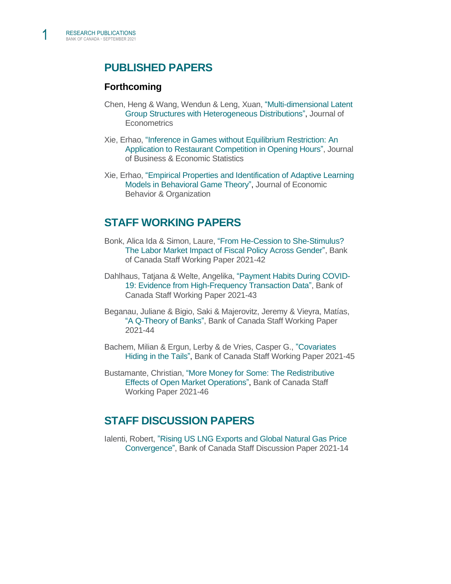# **PUBLISHED PAPERS**

#### **Forthcoming**

- Chen, Heng & Wang, Wendun & Leng, Xuan, ["Multi-dimensional Latent](https://papers.ssrn.com/sol3/papers.cfm?abstract_id=3626938)  [Group Structures with Heterogeneous Distributions",](https://papers.ssrn.com/sol3/papers.cfm?abstract_id=3626938) Journal of **Econometrics**
- Xie, Erhao, ["Inference in Games without Equilibrium Restriction: An](https://www.tandfonline.com/doi/full/10.1080/07350015.2021.1981914)  [Application to Restaurant Competition in Opening Hours",](https://www.tandfonline.com/doi/full/10.1080/07350015.2021.1981914) Journal of Business & Economic Statistics
- Xie, Erhao, ["Empirical Properties and Identification of Adaptive Learning](https://www.bankofcanada.ca/2019/12/staff-working-paper-2019-50/)  [Models in Behavioral Game Theory",](https://www.bankofcanada.ca/2019/12/staff-working-paper-2019-50/) Journal of Economic Behavior & Organization

## **STAFF WORKING PAPERS**

- Bonk, Alica Ida & Simon, Laure, ["From He-Cession to She-Stimulus?](https://www.bankofcanada.ca/2021/09/staff-working-paper-2021-42/)  [The Labor Market Impact of Fiscal Policy Across Gender",](https://www.bankofcanada.ca/2021/09/staff-working-paper-2021-42/) Bank of Canada Staff Working Paper 2021-42
- Dahlhaus, Tatjana & Welte, Angelika, ["Payment Habits During COVID-](https://www.bankofcanada.ca/2021/09/staff-working-paper-2021-43/)[19: Evidence from High-Frequency Transaction Data",](https://www.bankofcanada.ca/2021/09/staff-working-paper-2021-43/) Bank of Canada Staff Working Paper 2021-43
- Beganau, Juliane & Bigio, Saki & Majerovitz, Jeremy & Vieyra, Matías[,](https://www.bankofcanada.ca/2021/09/staff-working-paper-2021-44/) ["A Q-Theory of Banks"](https://www.bankofcanada.ca/2021/09/staff-working-paper-2021-44/), Bank of Canada Staff Working Paper 2021-44
- Bachem, Milian & Ergun, Lerby & de Vries, Casper G., ["Covariates](https://www.bankofcanada.ca/2021/09/staff-working-paper-2021-45/)  [Hiding in the Tails"](https://www.bankofcanada.ca/2021/09/staff-working-paper-2021-45/), Bank of Canada Staff Working Paper 2021-45
- Bustamante, Christian, ["More Money for Some: The Redistributive](https://www.bankofcanada.ca/2021/09/staff-working-paper-2021-46/)  [Effects of Open Market Operations",](https://www.bankofcanada.ca/2021/09/staff-working-paper-2021-46/) Bank of Canada Staff Working Paper 2021-46

### **STAFF DISCUSSION PAPERS**

Ialenti, Robert, ["Rising US LNG Exports and Global Natural Gas Price](https://www.bankofcanada.ca/2021/09/staff-discussion-paper-2021-14/)  [Convergence",](https://www.bankofcanada.ca/2021/09/staff-discussion-paper-2021-14/) Bank of Canada Staff Discussion Paper 2021-14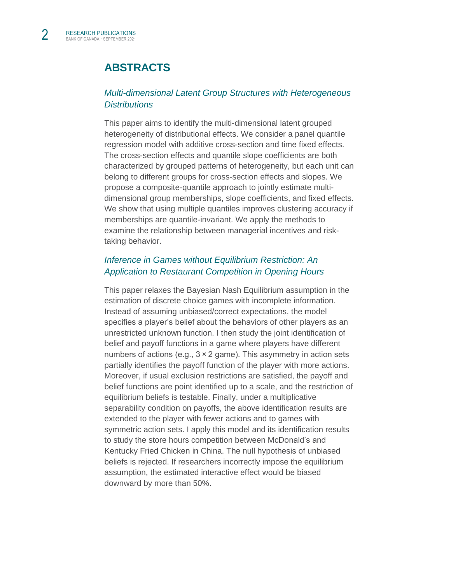# **ABSTRACTS**

#### *[Multi-dimensional Latent Group Structures with Heterogeneous](https://papers.ssrn.com/sol3/papers.cfm?abstract_id=3626938)  [Distributions](https://papers.ssrn.com/sol3/papers.cfm?abstract_id=3626938)*

This paper aims to identify the multi-dimensional latent grouped heterogeneity of distributional effects. We consider a panel quantile regression model with additive cross-section and time fixed effects. The cross-section effects and quantile slope coefficients are both characterized by grouped patterns of heterogeneity, but each unit can belong to different groups for cross-section effects and slopes. We propose a composite-quantile approach to jointly estimate multidimensional group memberships, slope coefficients, and fixed effects. We show that using multiple quantiles improves clustering accuracy if memberships are quantile-invariant. We apply the methods to examine the relationship between managerial incentives and risktaking behavior.

#### *[Inference in Games without Equilibrium Restriction: An](https://www.tandfonline.com/doi/full/10.1080/07350015.2021.1981914)  [Application to Restaurant Competition in Opening Hours](https://www.tandfonline.com/doi/full/10.1080/07350015.2021.1981914)*

This paper relaxes the Bayesian Nash Equilibrium assumption in the estimation of discrete choice games with incomplete information. Instead of assuming unbiased/correct expectations, the model specifies a player's belief about the behaviors of other players as an unrestricted unknown function. I then study the joint identification of belief and payoff functions in a game where players have different numbers of actions (e.g., 3 × 2 game). This asymmetry in action sets partially identifies the payoff function of the player with more actions. Moreover, if usual exclusion restrictions are satisfied, the payoff and belief functions are point identified up to a scale, and the restriction of equilibrium beliefs is testable. Finally, under a multiplicative separability condition on payoffs, the above identification results are extended to the player with fewer actions and to games with symmetric action sets. I apply this model and its identification results to study the store hours competition between McDonald's and Kentucky Fried Chicken in China. The null hypothesis of unbiased beliefs is rejected. If researchers incorrectly impose the equilibrium assumption, the estimated interactive effect would be biased downward by more than 50%.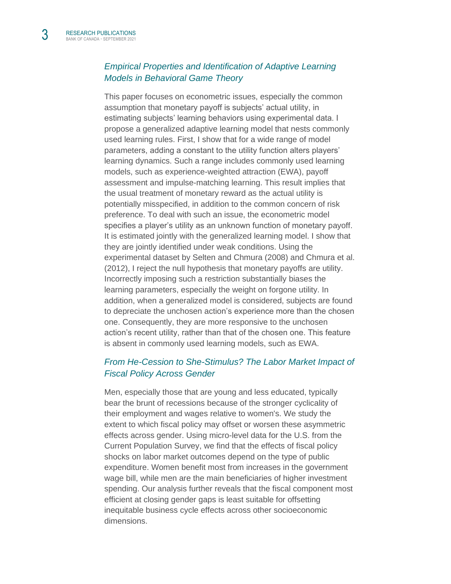#### *[Empirical Properties and Identification of Adaptive Learning](https://www.bankofcanada.ca/2019/12/staff-working-paper-2019-50/)  [Models in Behavioral Game Theory](https://www.bankofcanada.ca/2019/12/staff-working-paper-2019-50/)*

This paper focuses on econometric issues, especially the common assumption that monetary payoff is subjects' actual utility, in estimating subjects' learning behaviors using experimental data. I propose a generalized adaptive learning model that nests commonly used learning rules. First, I show that for a wide range of model parameters, adding a constant to the utility function alters players' learning dynamics. Such a range includes commonly used learning models, such as experience-weighted attraction (EWA), payoff assessment and impulse-matching learning. This result implies that the usual treatment of monetary reward as the actual utility is potentially misspecified, in addition to the common concern of risk preference. To deal with such an issue, the econometric model specifies a player's utility as an unknown function of monetary payoff. It is estimated jointly with the generalized learning model. I show that they are jointly identified under weak conditions. Using the experimental dataset by Selten and Chmura (2008) and Chmura et al. (2012), I reject the null hypothesis that monetary payoffs are utility. Incorrectly imposing such a restriction substantially biases the learning parameters, especially the weight on forgone utility. In addition, when a generalized model is considered, subjects are found to depreciate the unchosen action's experience more than the chosen one. Consequently, they are more responsive to the unchosen action's recent utility, rather than that of the chosen one. This feature is absent in commonly used learning models, such as EWA.

#### *[From He-Cession to She-Stimulus? The Labor Market Impact of](https://www.bankofcanada.ca/2021/09/staff-working-paper-2021-42/)  [Fiscal Policy Across Gender](https://www.bankofcanada.ca/2021/09/staff-working-paper-2021-42/)*

Men, especially those that are young and less educated, typically bear the brunt of recessions because of the stronger cyclicality of their employment and wages relative to women's. We study the extent to which fiscal policy may offset or worsen these asymmetric effects across gender. Using micro-level data for the U.S. from the Current Population Survey, we find that the effects of fiscal policy shocks on labor market outcomes depend on the type of public expenditure. Women benefit most from increases in the government wage bill, while men are the main beneficiaries of higher investment spending. Our analysis further reveals that the fiscal component most efficient at closing gender gaps is least suitable for offsetting inequitable business cycle effects across other socioeconomic dimensions.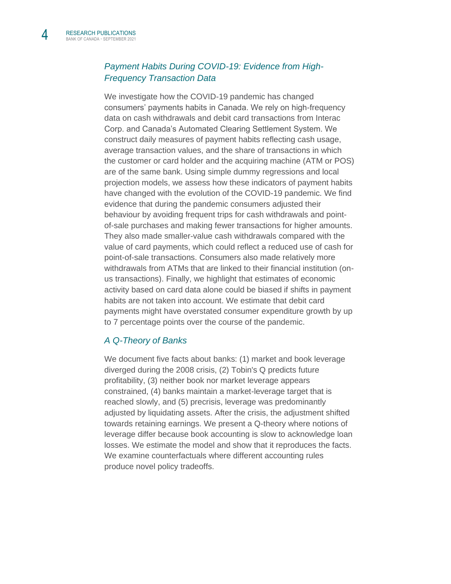#### *[Payment Habits During COVID-19: Evidence from High-](https://www.bankofcanada.ca/2021/09/staff-working-paper-2021-43/)[Frequency Transaction Data](https://www.bankofcanada.ca/2021/09/staff-working-paper-2021-43/)*

We investigate how the COVID-19 pandemic has changed consumers' payments habits in Canada. We rely on high-frequency data on cash withdrawals and debit card transactions from Interac Corp. and Canada's Automated Clearing Settlement System. We construct daily measures of payment habits reflecting cash usage, average transaction values, and the share of transactions in which the customer or card holder and the acquiring machine (ATM or POS) are of the same bank. Using simple dummy regressions and local projection models, we assess how these indicators of payment habits have changed with the evolution of the COVID-19 pandemic. We find evidence that during the pandemic consumers adjusted their behaviour by avoiding frequent trips for cash withdrawals and pointof-sale purchases and making fewer transactions for higher amounts. They also made smaller-value cash withdrawals compared with the value of card payments, which could reflect a reduced use of cash for point-of-sale transactions. Consumers also made relatively more withdrawals from ATMs that are linked to their financial institution (onus transactions). Finally, we highlight that estimates of economic activity based on card data alone could be biased if shifts in payment habits are not taken into account. We estimate that debit card payments might have overstated consumer expenditure growth by up to 7 percentage points over the course of the pandemic.

#### *[A Q-Theory of Banks](https://www.bankofcanada.ca/2021/09/staff-working-paper-2021-44/)*

We document five facts about banks: (1) market and book leverage diverged during the 2008 crisis, (2) Tobin's Q predicts future profitability, (3) neither book nor market leverage appears constrained, (4) banks maintain a market-leverage target that is reached slowly, and (5) precrisis, leverage was predominantly adjusted by liquidating assets. After the crisis, the adjustment shifted towards retaining earnings. We present a Q-theory where notions of leverage differ because book accounting is slow to acknowledge loan losses. We estimate the model and show that it reproduces the facts. We examine counterfactuals where different accounting rules produce novel policy tradeoffs.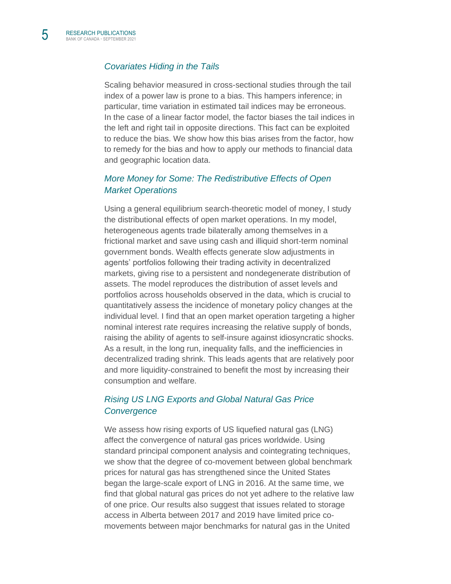#### *[Covariates Hiding in the Tails](https://www.bankofcanada.ca/2021/09/staff-working-paper-2021-45/)*

Scaling behavior measured in cross-sectional studies through the tail index of a power law is prone to a bias. This hampers inference; in particular, time variation in estimated tail indices may be erroneous. In the case of a linear factor model, the factor biases the tail indices in the left and right tail in opposite directions. This fact can be exploited to reduce the bias. We show how this bias arises from the factor, how to remedy for the bias and how to apply our methods to financial data and geographic location data.

#### *[More Money for Some: The Redistributive Effects of Open](https://www.bankofcanada.ca/2021/09/staff-working-paper-2021-46/)  [Market Operations](https://www.bankofcanada.ca/2021/09/staff-working-paper-2021-46/)*

Using a general equilibrium search-theoretic model of money, I study the distributional effects of open market operations. In my model, heterogeneous agents trade bilaterally among themselves in a frictional market and save using cash and illiquid short-term nominal government bonds. Wealth effects generate slow adjustments in agents' portfolios following their trading activity in decentralized markets, giving rise to a persistent and nondegenerate distribution of assets. The model reproduces the distribution of asset levels and portfolios across households observed in the data, which is crucial to quantitatively assess the incidence of monetary policy changes at the individual level. I find that an open market operation targeting a higher nominal interest rate requires increasing the relative supply of bonds, raising the ability of agents to self-insure against idiosyncratic shocks. As a result, in the long run, inequality falls, and the inefficiencies in decentralized trading shrink. This leads agents that are relatively poor and more liquidity-constrained to benefit the most by increasing their consumption and welfare.

#### *[Rising US LNG Exports and Global Natural Gas Price](https://www.bankofcanada.ca/2021/08/staff-discussion-paper-2021-13/)  [Convergence](https://www.bankofcanada.ca/2021/08/staff-discussion-paper-2021-13/)*

We assess how rising exports of US liquefied natural gas (LNG) affect the convergence of natural gas prices worldwide. Using standard principal component analysis and cointegrating techniques, we show that the degree of co-movement between global benchmark prices for natural gas has strengthened since the United States began the large-scale export of LNG in 2016. At the same time, we find that global natural gas prices do not yet adhere to the relative law of one price. Our results also suggest that issues related to storage access in Alberta between 2017 and 2019 have limited price comovements between major benchmarks for natural gas in the United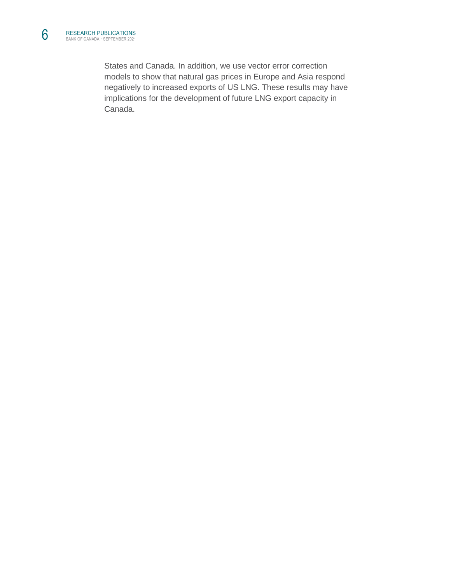States and Canada. In addition, we use vector error correction models to show that natural gas prices in Europe and Asia respond negatively to increased exports of US LNG. These results may have implications for the development of future LNG export capacity in Canada.